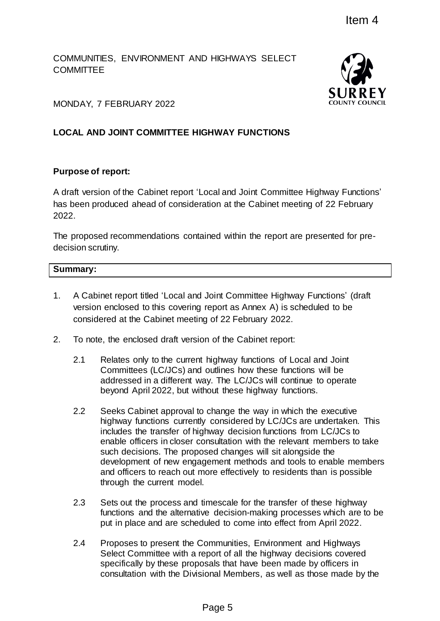COMMUNITIES, ENVIRONMENT AND HIGHWAYS SELECT **COMMITTEE** 



MONDAY, 7 FEBRUARY 2022

# **LOCAL AND JOINT COMMITTEE HIGHWAY FUNCTIONS**

## **Purpose of report:**

A draft version of the Cabinet report 'Local and Joint Committee Highway Functions' has been produced ahead of consideration at the Cabinet meeting of 22 February 2022.

The proposed recommendations contained within the report are presented for predecision scrutiny.

# **Summary:**

- 1. A Cabinet report titled 'Local and Joint Committee Highway Functions' (draft version enclosed to this covering report as Annex A) is scheduled to be considered at the Cabinet meeting of 22 February 2022.
- 2. To note, the enclosed draft version of the Cabinet report:
	- 2.1 Relates only to the current highway functions of Local and Joint Committees (LC/JCs) and outlines how these functions will be addressed in a different way. The LC/JCs will continue to operate beyond April 2022, but without these highway functions.
- 2.2 Seeks Cabinet approval to change the way in which the executive highway functions currently considered by LC/JCs are undertaken. This includes the transfer of highway decision functions from LC/JCs to enable officers in closer consultation with the relevant members to take such decisions. The proposed changes will sit alongside the development of new engagement methods and tools to enable members and officers to reach out more effectively to residents than is possible through the current model. Item 4<br>
D HIGHWAYS SELECT<br>
SURRE<br>
SURRE<br>
SURRE<br>
SURRE<br>
SURRE<br>
SURRE<br>
SURRE<br>
SURRE<br>
SURRE<br>
SURRE<br>
SURRE<br>
SURRE<br>
SURRE<br>
SURRE<br>
SURRE<br>
SURRE<br>
SURRE<br>
SURRE<br>
SURRE<br>
SURRE<br>
SURRE<br>
SURRE<br>
USITNG THE MORE INTERNATION TO THE MORE I
	- 2.3 Sets out the process and timescale for the transfer of these highway functions and the alternative decision-making processes which are to be put in place and are scheduled to come into effect from April 2022.
	- 2.4 Proposes to present the Communities, Environment and Highways Select Committee with a report of all the highway decisions covered specifically by these proposals that have been made by officers in consultation with the Divisional Members, as well as those made by the